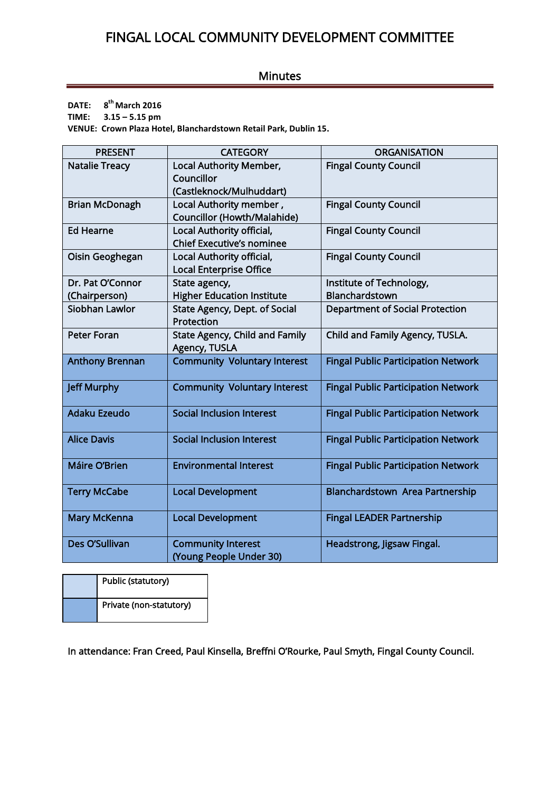## FINGAL LOCAL COMMUNITY DEVELOPMENT COMMITTEE

## Minutes

**DATE: 8 th March 2016**

**TIME: 3.15 – 5.15 pm** 

**VENUE: Crown Plaza Hotel, Blanchardstown Retail Park, Dublin 15.**

| <b>PRESENT</b>         | <b>CATEGORY</b>                                      | <b>ORGANISATION</b>                        |  |  |
|------------------------|------------------------------------------------------|--------------------------------------------|--|--|
| <b>Natalie Treacy</b>  | <b>Local Authority Member,</b>                       | <b>Fingal County Council</b>               |  |  |
|                        | Councillor                                           |                                            |  |  |
|                        | (Castleknock/Mulhuddart)                             |                                            |  |  |
| <b>Brian McDonagh</b>  | Local Authority member,                              | <b>Fingal County Council</b>               |  |  |
|                        | <b>Councillor (Howth/Malahide)</b>                   |                                            |  |  |
| <b>Ed Hearne</b>       | Local Authority official,                            | <b>Fingal County Council</b>               |  |  |
|                        | <b>Chief Executive's nominee</b>                     |                                            |  |  |
| Oisin Geoghegan        | Local Authority official,                            | <b>Fingal County Council</b>               |  |  |
|                        | <b>Local Enterprise Office</b>                       |                                            |  |  |
| Dr. Pat O'Connor       | State agency,                                        | Institute of Technology,                   |  |  |
| (Chairperson)          | <b>Higher Education Institute</b>                    | Blanchardstown                             |  |  |
| Siobhan Lawlor         | State Agency, Dept. of Social                        | <b>Department of Social Protection</b>     |  |  |
|                        | Protection                                           |                                            |  |  |
| <b>Peter Foran</b>     | <b>State Agency, Child and Family</b>                | Child and Family Agency, TUSLA.            |  |  |
|                        | Agency, TUSLA                                        |                                            |  |  |
| <b>Anthony Brennan</b> | <b>Community Voluntary Interest</b>                  | <b>Fingal Public Participation Network</b> |  |  |
| <b>Jeff Murphy</b>     | <b>Community Voluntary Interest</b>                  | <b>Fingal Public Participation Network</b> |  |  |
| <b>Adaku Ezeudo</b>    | <b>Social Inclusion Interest</b>                     | <b>Fingal Public Participation Network</b> |  |  |
| <b>Alice Davis</b>     | <b>Social Inclusion Interest</b>                     | <b>Fingal Public Participation Network</b> |  |  |
| Máire O'Brien          | <b>Environmental Interest</b>                        | <b>Fingal Public Participation Network</b> |  |  |
| <b>Terry McCabe</b>    | <b>Local Development</b>                             | Blanchardstown Area Partnership            |  |  |
| <b>Mary McKenna</b>    | <b>Local Development</b>                             | <b>Fingal LEADER Partnership</b>           |  |  |
| Des O'Sullivan         | <b>Community Interest</b><br>(Young People Under 30) | Headstrong, Jigsaw Fingal.                 |  |  |

| Public (statutory)      |  |
|-------------------------|--|
| Private (non-statutory) |  |

In attendance: Fran Creed, Paul Kinsella, Breffni O'Rourke, Paul Smyth, Fingal County Council.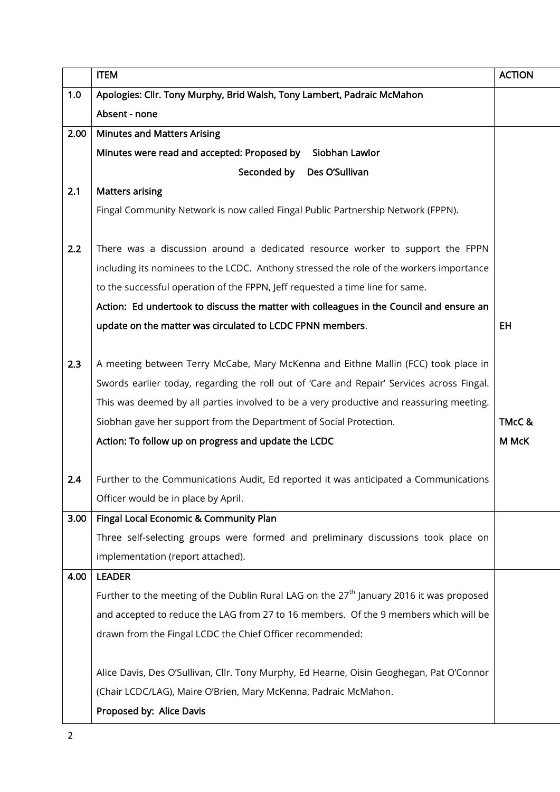|      | <b>ITEM</b>                                                                                         | <b>ACTION</b> |  |
|------|-----------------------------------------------------------------------------------------------------|---------------|--|
| 1.0  | Apologies: Cllr. Tony Murphy, Brid Walsh, Tony Lambert, Padraic McMahon                             |               |  |
|      | Absent - none                                                                                       |               |  |
| 2.00 | <b>Minutes and Matters Arising</b>                                                                  |               |  |
|      | Minutes were read and accepted: Proposed by<br>Siobhan Lawlor                                       |               |  |
|      | Seconded by<br>Des O'Sullivan                                                                       |               |  |
| 2.1  | <b>Matters arising</b>                                                                              |               |  |
|      | Fingal Community Network is now called Fingal Public Partnership Network (FPPN).                    |               |  |
| 2.2  | There was a discussion around a dedicated resource worker to support the FPPN                       |               |  |
|      | including its nominees to the LCDC. Anthony stressed the role of the workers importance             |               |  |
|      | to the successful operation of the FPPN, Jeff requested a time line for same.                       |               |  |
|      | Action: Ed undertook to discuss the matter with colleagues in the Council and ensure an             |               |  |
|      | update on the matter was circulated to LCDC FPNN members.                                           | EH            |  |
| 2.3  | A meeting between Terry McCabe, Mary McKenna and Eithne Mallin (FCC) took place in                  |               |  |
|      | Swords earlier today, regarding the roll out of 'Care and Repair' Services across Fingal.           |               |  |
|      | This was deemed by all parties involved to be a very productive and reassuring meeting.             |               |  |
|      | Siobhan gave her support from the Department of Social Protection.                                  | TMcC &        |  |
|      | Action: To follow up on progress and update the LCDC                                                | M McK         |  |
| 2.4  | Further to the Communications Audit, Ed reported it was anticipated a Communications                |               |  |
|      | Officer would be in place by April.                                                                 |               |  |
|      | 3.00   Fingal Local Economic & Community Plan                                                       |               |  |
|      | Three self-selecting groups were formed and preliminary discussions took place on                   |               |  |
|      | implementation (report attached).                                                                   |               |  |
| 4.00 | <b>LEADER</b>                                                                                       |               |  |
|      | Further to the meeting of the Dublin Rural LAG on the 27 <sup>th</sup> January 2016 it was proposed |               |  |
|      | and accepted to reduce the LAG from 27 to 16 members. Of the 9 members which will be                |               |  |
|      | drawn from the Fingal LCDC the Chief Officer recommended:                                           |               |  |
|      |                                                                                                     |               |  |
|      | Alice Davis, Des O'Sullivan, Cllr. Tony Murphy, Ed Hearne, Oisin Geoghegan, Pat O'Connor            |               |  |
|      | (Chair LCDC/LAG), Maire O'Brien, Mary McKenna, Padraic McMahon.                                     |               |  |
|      | Proposed by: Alice Davis                                                                            |               |  |
|      |                                                                                                     |               |  |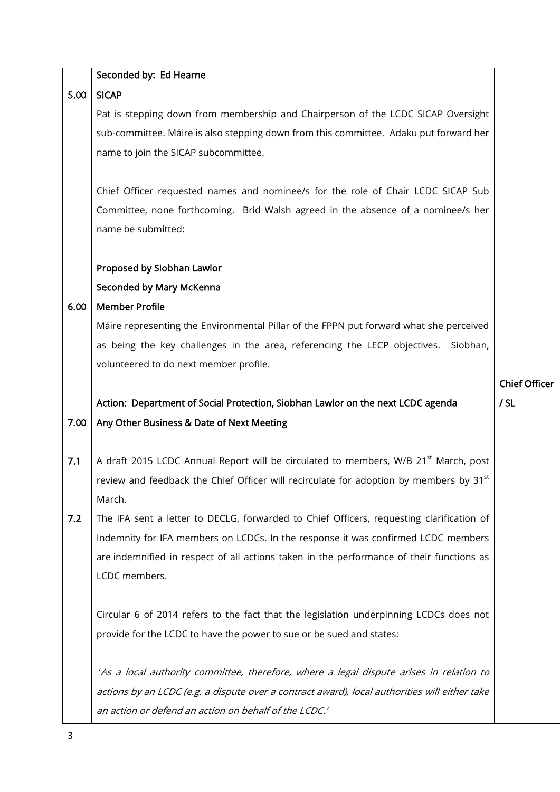|      | Seconded by: Ed Hearne                                                                             |                      |  |  |
|------|----------------------------------------------------------------------------------------------------|----------------------|--|--|
| 5.00 | <b>SICAP</b>                                                                                       |                      |  |  |
|      | Pat is stepping down from membership and Chairperson of the LCDC SICAP Oversight                   |                      |  |  |
|      | sub-committee. Máire is also stepping down from this committee. Adaku put forward her              |                      |  |  |
|      | name to join the SICAP subcommittee.                                                               |                      |  |  |
|      |                                                                                                    |                      |  |  |
|      | Chief Officer requested names and nominee/s for the role of Chair LCDC SICAP Sub                   |                      |  |  |
|      | Committee, none forthcoming. Brid Walsh agreed in the absence of a nominee/s her                   |                      |  |  |
|      | name be submitted:                                                                                 |                      |  |  |
|      |                                                                                                    |                      |  |  |
|      | Proposed by Siobhan Lawlor                                                                         |                      |  |  |
|      | Seconded by Mary McKenna                                                                           |                      |  |  |
| 6.00 | <b>Member Profile</b>                                                                              |                      |  |  |
|      | Máire representing the Environmental Pillar of the FPPN put forward what she perceived             |                      |  |  |
|      | as being the key challenges in the area, referencing the LECP objectives.<br>Siobhan,              |                      |  |  |
|      | volunteered to do next member profile.                                                             |                      |  |  |
|      |                                                                                                    | <b>Chief Officer</b> |  |  |
|      | Action: Department of Social Protection, Siobhan Lawlor on the next LCDC agenda                    | / SL                 |  |  |
| 7.00 | Any Other Business & Date of Next Meeting                                                          |                      |  |  |
|      |                                                                                                    |                      |  |  |
| 7.1  | A draft 2015 LCDC Annual Report will be circulated to members, W/B 21 <sup>st</sup> March, post    |                      |  |  |
|      | review and feedback the Chief Officer will recirculate for adoption by members by 31 <sup>st</sup> |                      |  |  |
|      | March.                                                                                             |                      |  |  |
| 7.2  | The IFA sent a letter to DECLG, forwarded to Chief Officers, requesting clarification of           |                      |  |  |
|      | Indemnity for IFA members on LCDCs. In the response it was confirmed LCDC members                  |                      |  |  |
|      | are indemnified in respect of all actions taken in the performance of their functions as           |                      |  |  |
|      | LCDC members.                                                                                      |                      |  |  |
|      |                                                                                                    |                      |  |  |
|      | Circular 6 of 2014 refers to the fact that the legislation underpinning LCDCs does not             |                      |  |  |
|      | provide for the LCDC to have the power to sue or be sued and states:                               |                      |  |  |
|      |                                                                                                    |                      |  |  |
|      | 'As a local authority committee, therefore, where a legal dispute arises in relation to            |                      |  |  |
|      | actions by an LCDC (e.g. a dispute over a contract award), local authorities will either take      |                      |  |  |
|      | an action or defend an action on behalf of the LCDC.'                                              |                      |  |  |